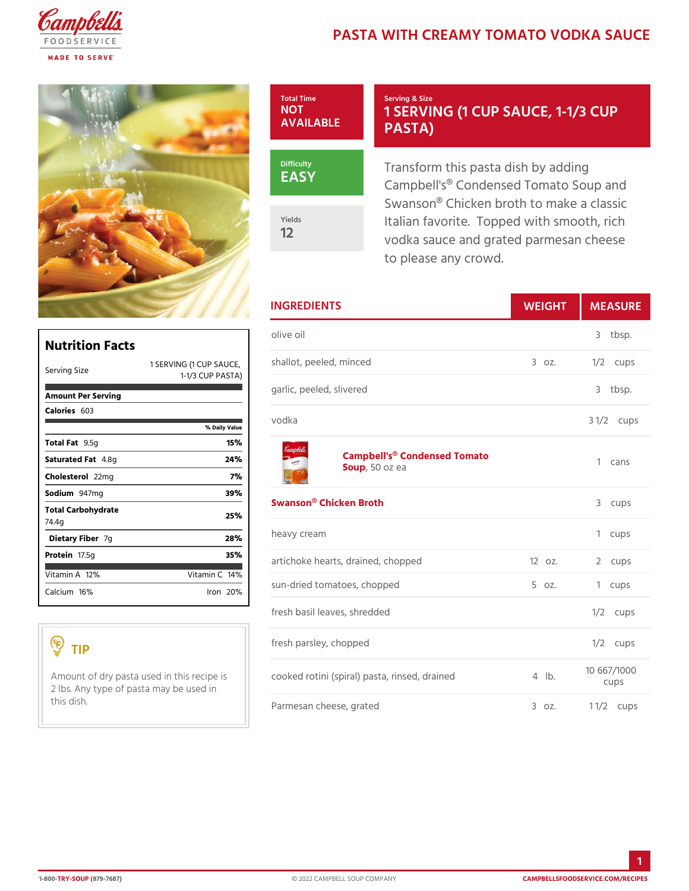## PASTA WITH CREAMY TOMATO V

## Total Time NOT AVAILABLE EASY Yields Serving & Size 1 SERVING (1 CUP SAUC PASTA) Transform this pasta dish by ad

12

Campbell's® Condensed Tomato Swanson® Chicken broth to mak Italian favorite. Topped with s vodka sauce and grated parmes to please any crowd.

|                                         |                                                 | <b>INGREDIENTS</b>                                                                                        | WEIGH           |        | MEASU                |
|-----------------------------------------|-------------------------------------------------|-----------------------------------------------------------------------------------------------------------|-----------------|--------|----------------------|
| <b>Nutrition Facts</b>                  |                                                 | olive oil                                                                                                 |                 |        | 3 tbsp.              |
| Serving Size                            | $1-1/3$ CUP PASTAT                              | 1 SERVING (1 CUP SAUDOLOt, peeled, minced                                                                 | $3.0Z$ .        |        | $1/2$ cups           |
| Amount Per Serving                      |                                                 | garlic, peeled, slivered                                                                                  |                 |        | 3 tbsp.              |
| $C$ alorie $6503$                       | vodka<br>% Daily Value                          |                                                                                                           |                 |        | $3 \frac{1}{2}$ cups |
| Total Fat5q                             | 15%                                             |                                                                                                           |                 |        |                      |
| Saturated 4F. & tg                      | Campbell's <sup>®</sup> Condensed Tomato<br>24% |                                                                                                           |                 | 1 cans |                      |
| Choleste <sub>20</sub> mg               | 7 %                                             | Sou,p50 oz ea                                                                                             |                 |        |                      |
| Sodium947mg                             | 39%                                             | Swanson® Chicken Broth                                                                                    |                 |        |                      |
| Total Carbohydrate<br>74.4q             | 25%                                             |                                                                                                           |                 |        | 3 cups               |
| Dietary Figer                           | 28%                                             | heavy cream                                                                                               |                 |        | 1 cups               |
| Proteifi7.5g                            | 35%                                             | artichoke hearts, drained, chopped 12oz.                                                                  |                 |        | 2 cups               |
| Vitamin $1/2$ %                         | Vitamin1 $\frac{1}{6}$ %                        |                                                                                                           |                 |        |                      |
| Calcium6%                               | $l$ ron $20%$                                   | sun-dried tomatoes, chopped                                                                               | $5 \text{ oz}.$ |        | 1 cups               |
|                                         |                                                 | fresh basil leaves, shredded                                                                              |                 |        | $1/2$ cups           |
| TIP                                     |                                                 | fresh parsley, chopped                                                                                    |                 |        | $1/2$ cups           |
| 2 Ibs. Any type of pasta may be used in |                                                 | A mount of dry pasta used in the screedpeots ni (spiral) pasta, rinsed, 4d rabined <sup>10</sup> 667/1000 |                 |        | cups                 |
| this dish.                              |                                                 | Parmesan cheese, grated                                                                                   | $3.0Z$ .        |        | 1 $1/2$ cups         |